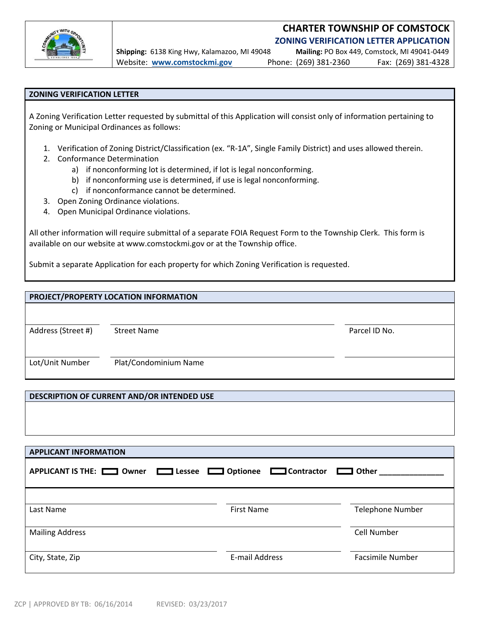

## **CHARTER TOWNSHIP OF COMSTOCK ZONING VERIFICATION LETTER APPLICATION**

**Shipping:** 6138 King Hwy, Kalamazoo, MI 49048 **Mailing:** PO Box 449, Comstock, MI 49041‐0449 Website: **www.comstockmi.gov** Phone: (269) 381‐2360 Fax: (269) 381‐4328

## **ZONING VERIFICATION LETTER**

A Zoning Verification Letter requested by submittal of this Application will consist only of information pertaining to Zoning or Municipal Ordinances as follows:

- 1. Verification of Zoning District/Classification (ex. "R‐1A", Single Family District) and uses allowed therein.
- 2. Conformance Determination
	- a) if nonconforming lot is determined, if lot is legal nonconforming.
	- b) if nonconforming use is determined, if use is legal nonconforming.
	- c) if nonconformance cannot be determined.
- 3. Open Zoning Ordinance violations.
- 4. Open Municipal Ordinance violations.

All other information will require submittal of a separate FOIA Request Form to the Township Clerk. This form is available on our website at www.comstockmi.gov or at the Township office.

Submit a separate Application for each property for which Zoning Verification is requested.

## **PROJECT/PROPERTY LOCATION INFORMATION**

Address (Street #) Street Name Parcel ID No.

Lot/Unit Number Plat/Condominium Name

## **DESCRIPTION OF CURRENT AND/OR INTENDED USE**

| <b>APPLICANT INFORMATION</b>       |                                    |                         |
|------------------------------------|------------------------------------|-------------------------|
| APPLICANT IS THE: <u>New Owner</u> | Lessee <b>Depending Contractor</b> | $\Box$ Other            |
|                                    |                                    |                         |
| Last Name                          | <b>First Name</b>                  | <b>Telephone Number</b> |
| <b>Mailing Address</b>             |                                    | Cell Number             |
| City, State, Zip                   | E-mail Address                     | <b>Facsimile Number</b> |